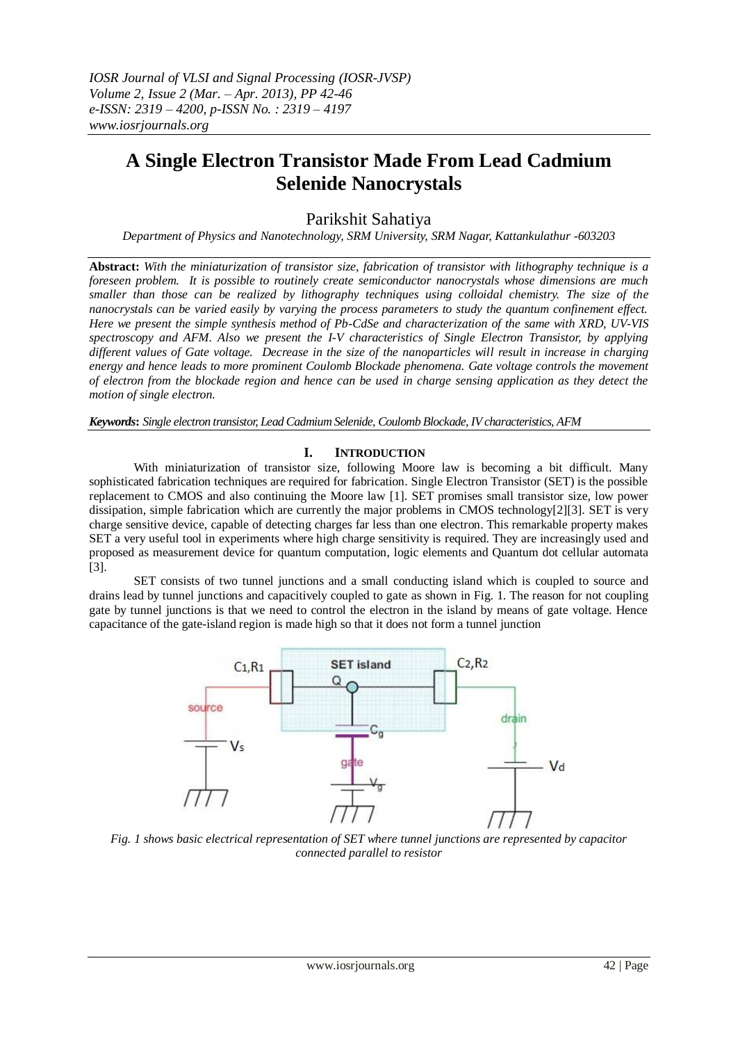# **A Single Electron Transistor Made From Lead Cadmium Selenide Nanocrystals**

## Parikshit Sahatiya

*Department of Physics and Nanotechnology, SRM University, SRM Nagar, Kattankulathur -603203*

**Abstract:** *With the miniaturization of transistor size, fabrication of transistor with lithography technique is a foreseen problem. It is possible to routinely create semiconductor nanocrystals whose dimensions are much smaller than those can be realized by lithography techniques using colloidal chemistry. The size of the nanocrystals can be varied easily by varying the process parameters to study the quantum confinement effect. Here we present the simple synthesis method of Pb-CdSe and characterization of the same with XRD, UV-VIS spectroscopy and AFM. Also we present the I-V characteristics of Single Electron Transistor, by applying different values of Gate voltage. Decrease in the size of the nanoparticles will result in increase in charging energy and hence leads to more prominent Coulomb Blockade phenomena. Gate voltage controls the movement of electron from the blockade region and hence can be used in charge sensing application as they detect the motion of single electron.*

*Keywords***:** *Single electron transistor, Lead Cadmium Selenide, Coulomb Blockade, IV characteristics, AFM*

## **I. INTRODUCTION**

With miniaturization of transistor size, following Moore law is becoming a bit difficult. Many sophisticated fabrication techniques are required for fabrication. Single Electron Transistor (SET) is the possible replacement to CMOS and also continuing the Moore law [1]. SET promises small transistor size, low power dissipation, simple fabrication which are currently the major problems in CMOS technology[2][3]. SET is very charge sensitive device, capable of detecting charges far less than one electron. This remarkable property makes SET a very useful tool in experiments where high charge sensitivity is required. They are increasingly used and proposed as measurement device for quantum computation, logic elements and Quantum dot cellular automata [3].

SET consists of two tunnel junctions and a small conducting island which is coupled to source and drains lead by tunnel junctions and capacitively coupled to gate as shown in Fig. 1. The reason for not coupling gate by tunnel junctions is that we need to control the electron in the island by means of gate voltage. Hence capacitance of the gate-island region is made high so that it does not form a tunnel junction



*Fig. 1 shows basic electrical representation of SET where tunnel junctions are represented by capacitor connected parallel to resistor*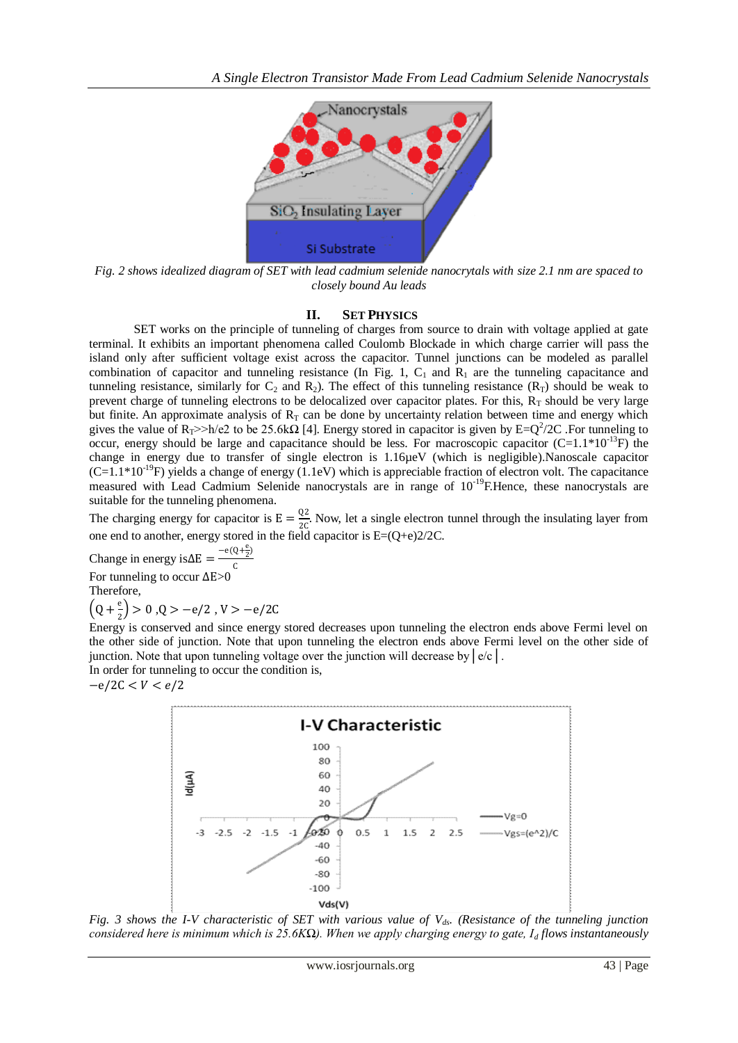

*Fig. 2 shows idealized diagram of SET with lead cadmium selenide nanocrytals with size 2.1 nm are spaced to closely bound Au leads*

#### **II. SET PHYSICS**

SET works on the principle of tunneling of charges from source to drain with voltage applied at gate terminal. It exhibits an important phenomena called Coulomb Blockade in which charge carrier will pass the island only after sufficient voltage exist across the capacitor. Tunnel junctions can be modeled as parallel combination of capacitor and tunneling resistance (In Fig. 1,  $C_1$  and  $R_1$  are the tunneling capacitance and tunneling resistance, similarly for  $C_2$  and  $R_2$ ). The effect of this tunneling resistance  $(R_T)$  should be weak to prevent charge of tunneling electrons to be delocalized over capacitor plates. For this,  $R_T$  should be very large but finite. An approximate analysis of  $R<sub>T</sub>$  can be done by uncertainty relation between time and energy which gives the value of  $R_T$ >>h/e2 to be 25.6k $\Omega$  [4]. Energy stored in capacitor is given by E=Q<sup>2</sup>/2C . For tunneling to occur, energy should be large and capacitance should be less. For macroscopic capacitor  $(C=1.1*10^{-13}F)$  the change in energy due to transfer of single electron is 1.16µeV (which is negligible).Nanoscale capacitor  $(C=1.1*10^{-19}F)$  yields a change of energy (1.1eV) which is appreciable fraction of electron volt. The capacitance measured with Lead Cadmium Selenide nanocrystals are in range of  $10^{-19}$ F.Hence, these nanocrystals are suitable for the tunneling phenomena.

The charging energy for capacitor is  $E = \frac{Q2}{20}$  $\frac{Q^2}{2C}$ . Now, let a single electron tunnel through the insulating layer from one end to another, energy stored in the field capacitor is E=(Q+e)2/2C.

Change in energy is∆E =  $\frac{-e(Q+\frac{e}{2})}{c}$ C

For tunneling to occur ∆E>0

Therefore,

 $\left(Q + \frac{e}{a}\right)$  $\frac{e}{2}$ ) > 0,0 > -e/2, V > -e/2C

Energy is conserved and since energy stored decreases upon tunneling the electron ends above Fermi level on the other side of junction. Note that upon tunneling the electron ends above Fermi level on the other side of junction. Note that upon tunneling voltage over the junction will decrease by  $\left| e/c \right|$ .

In order for tunneling to occur the condition is,  $-e/2C < V < e/2$ 



*Fig. 3 shows the I-V characteristic of SET with various value of Vds. (Resistance of the tunneling junction considered here is minimum which is 25.6KΩ). When we apply charging energy to gate, I<sup>d</sup> flows instantaneously*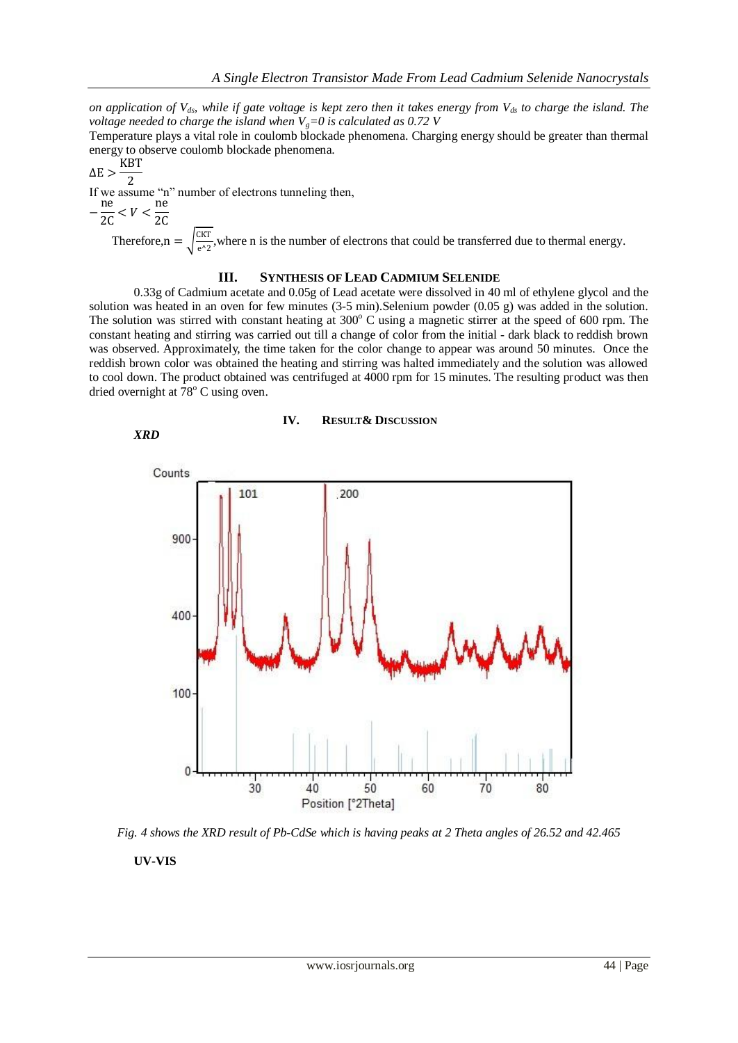*on application of Vds, while if gate voltage is kept zero then it takes energy from Vds to charge the island. The voltage needed to charge the island when Vg=0 is calculated as 0.72 V*

Temperature plays a vital role in coulomb blockade phenomena. Charging energy should be greater than thermal energy to observe coulomb blockade phenomena.

$$
\Delta E > \frac{KBT}{2}
$$

If we assume "n" number of electrons tunneling then,

$$
-\frac{\mathrm{ne}}{2\mathrm{C}} < V < \frac{\mathrm{ne}}{2\mathrm{C}}
$$

Therefore,  $n = \sqrt{\frac{CKT}{\epsilon_0^2}}$  $\frac{1}{e^2}$ , where n is the number of electrons that could be transferred due to thermal energy.

## **III. SYNTHESIS OF LEAD CADMIUM SELENIDE**

0.33g of Cadmium acetate and 0.05g of Lead acetate were dissolved in 40 ml of ethylene glycol and the solution was heated in an oven for few minutes (3-5 min).Selenium powder (0.05 g) was added in the solution. The solution was stirred with constant heating at  $300^{\circ}$  C using a magnetic stirrer at the speed of 600 rpm. The constant heating and stirring was carried out till a change of color from the initial - dark black to reddish brown was observed. Approximately, the time taken for the color change to appear was around 50 minutes. Once the reddish brown color was obtained the heating and stirring was halted immediately and the solution was allowed to cool down. The product obtained was centrifuged at 4000 rpm for 15 minutes. The resulting product was then dried overnight at  $78^{\circ}$  C using oven.



### **IV. RESULT& DISCUSSION**



*Fig. 4 shows the XRD result of Pb-CdSe which is having peaks at 2 Theta angles of 26.52 and 42.465*

**UV-VIS**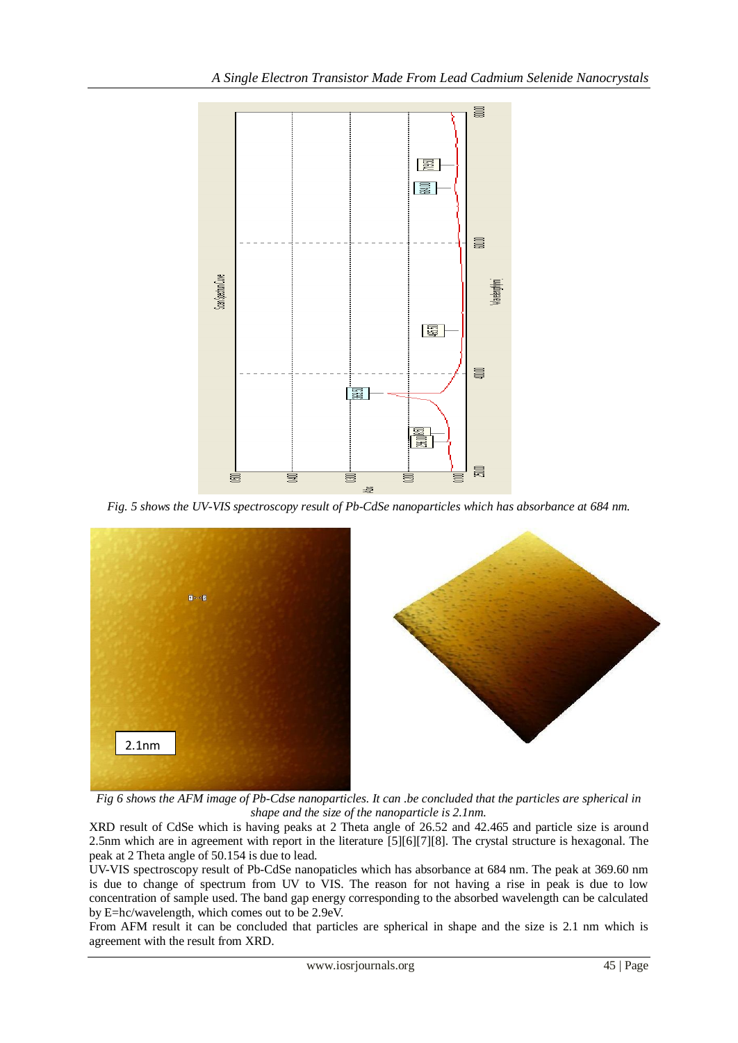

*Fig. 5 shows the UV-VIS spectroscopy result of Pb-CdSe nanoparticles which has absorbance at 684 nm.*



*Fig 6 shows the AFM image of Pb-Cdse nanoparticles. It can .be concluded that the particles are spherical in shape and the size of the nanoparticle is 2.1nm.*

XRD result of CdSe which is having peaks at 2 Theta angle of 26.52 and 42.465 and particle size is around 2.5nm which are in agreement with report in the literature [5][6][7][8]. The crystal structure is hexagonal. The peak at 2 Theta angle of 50.154 is due to lead.

UV-VIS spectroscopy result of Pb-CdSe nanopaticles which has absorbance at 684 nm. The peak at 369.60 nm is due to change of spectrum from UV to VIS. The reason for not having a rise in peak is due to low concentration of sample used. The band gap energy corresponding to the absorbed wavelength can be calculated by E=hc/wavelength, which comes out to be 2.9eV.

From AFM result it can be concluded that particles are spherical in shape and the size is 2.1 nm which is agreement with the result from XRD.